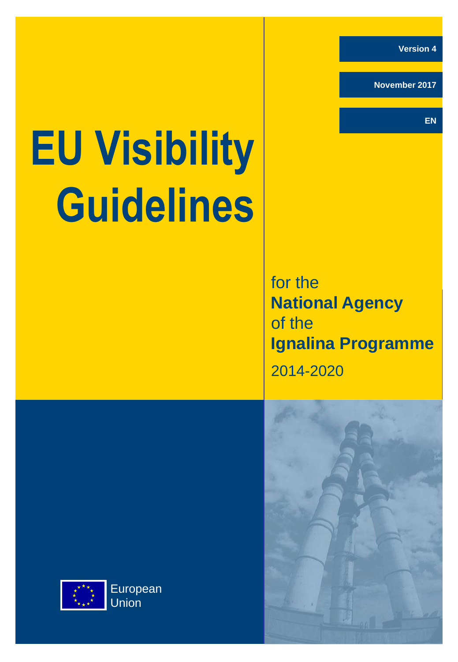**Version 4**

**November 2017**

**EN**

# **EU Visibility Guidelines**

for the **National Agency**  of the **Ignalina Programme** 2014-2020



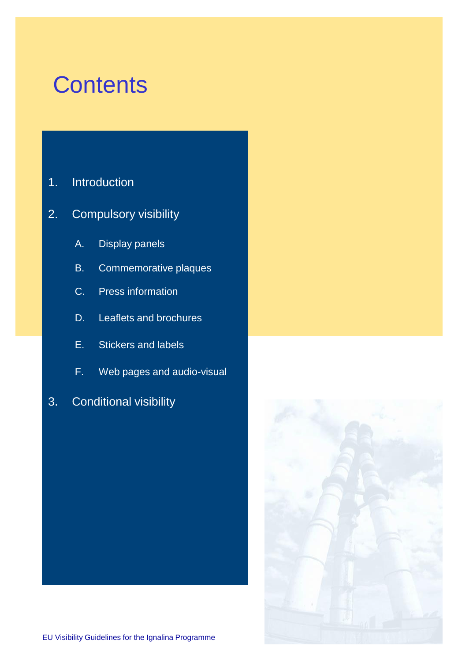### **Contents**

### 1. Introduction

- 2. Compulsory visibility
	- A. Display panels
	- B. Commemorative plaques
	- C. Press information
	- D. Leaflets and brochures
	- E. Stickers and labels
	- F. Web pages and audio-visual
- 3. Conditional visibility

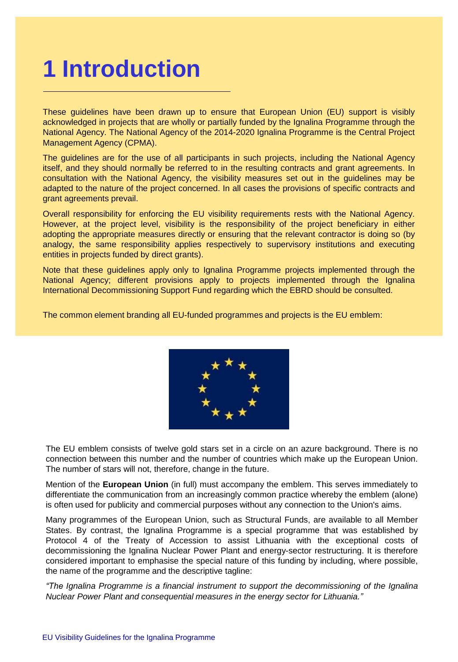# **1 Introduction**

These guidelines have been drawn up to ensure that European Union (EU) support is visibly acknowledged in projects that are wholly or partially funded by the Ignalina Programme through the National Agency. The National Agency of the 2014-2020 Ignalina Programme is the Central Project Management Agency (CPMA).

The guidelines are for the use of all participants in such projects, including the National Agency itself, and they should normally be referred to in the resulting contracts and grant agreements. In consultation with the National Agency, the visibility measures set out in the guidelines may be adapted to the nature of the project concerned. In all cases the provisions of specific contracts and grant agreements prevail.

Overall responsibility for enforcing the EU visibility requirements rests with the National Agency. However, at the project level, visibility is the responsibility of the project beneficiary in either adopting the appropriate measures directly or ensuring that the relevant contractor is doing so (by analogy, the same responsibility applies respectively to supervisory institutions and executing entities in projects funded by direct grants).

Note that these guidelines apply only to Ignalina Programme projects implemented through the National Agency; different provisions apply to projects implemented through the Ignalina International Decommissioning Support Fund regarding which the EBRD should be consulted.

The common element branding all EU-funded programmes and projects is the EU emblem:



The EU emblem consists of twelve gold stars set in a circle on an azure background. There is no connection between this number and the number of countries which make up the European Union. The number of stars will not, therefore, change in the future.

Mention of the **European Union** (in full) must accompany the emblem. This serves immediately to differentiate the communication from an increasingly common practice whereby the emblem (alone) is often used for publicity and commercial purposes without any connection to the Union's aims.

Many programmes of the European Union, such as Structural Funds, are available to all Member States. By contrast, the Ignalina Programme is a special programme that was established by Protocol 4 of the Treaty of Accession to assist Lithuania with the exceptional costs of decommissioning the Ignalina Nuclear Power Plant and energy-sector restructuring. It is therefore considered important to emphasise the special nature of this funding by including, where possible, the name of the programme and the descriptive tagline:

*"The Ignalina Programme is a financial instrument to support the decommissioning of the Ignalina Nuclear Power Plant and consequential measures in the energy sector for Lithuania."*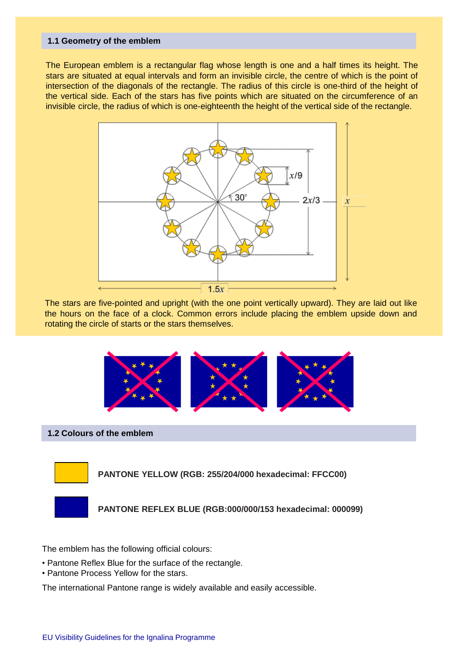#### **1.1 Geometry of the emblem**

The European emblem is a rectangular flag whose length is one and a half times its height. The stars are situated at equal intervals and form an invisible circle, the centre of which is the point of intersection of the diagonals of the rectangle. The radius of this circle is one-third of the height of the vertical side. Each of the stars has five points which are situated on the circumference of an invisible circle, the radius of which is one-eighteenth the height of the vertical side of the rectangle.



The stars are five-pointed and upright (with the one point vertically upward). They are laid out like the hours on the face of a clock. Common errors include placing the emblem upside down and rotating the circle of starts or the stars themselves.



#### **1.2 Colours of the emblem**



**PANTONE YELLOW (RGB: 255/204/000 hexadecimal: FFCC00)**

**PANTONE REFLEX BLUE (RGB:000/000/153 hexadecimal: 000099)**

The emblem has the following official colours:

- Pantone Reflex Blue for the surface of the rectangle.
- Pantone Process Yellow for the stars.

The international Pantone range is widely available and easily accessible.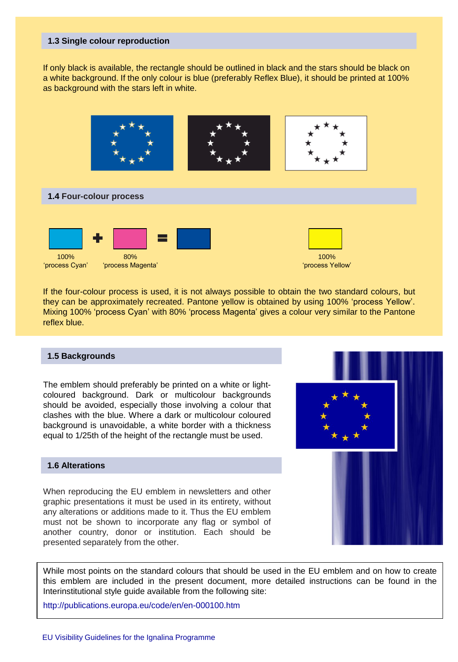#### **1.3 Single colour reproduction**

If only black is available, the rectangle should be outlined in black and the stars should be black on a white background. If the only colour is blue (preferably Reflex Blue), it should be printed at 100% as background with the stars left in white.



If the four-colour process is used, it is not always possible to obtain the two standard colours, but they can be approximately recreated. Pantone yellow is obtained by using 100% 'process Yellow'. Mixing 100% 'process Cyan' with 80% 'process Magenta' gives a colour very similar to the Pantone reflex blue.

#### **1.5 Backgrounds**

The emblem should preferably be printed on a white or lightcoloured background. Dark or multicolour backgrounds should be avoided, especially those involving a colour that clashes with the blue. Where a dark or multicolour coloured background is unavoidable, a white border with a thickness equal to 1/25th of the height of the rectangle must be used.

#### **1.6 Alterations**

When reproducing the EU emblem in newsletters and other graphic presentations it must be used in its entirety, without any alterations or additions made to it. Thus the EU emblem must not be shown to incorporate any flag or symbol of another country, donor or institution. Each should be presented separately from the other.



While most points on the standard colours that should be used in the EU emblem and on how to create this emblem are included in the present document, more detailed instructions can be found in the Interinstitutional style guide available from the following site:

http://publications.europa.eu/code/en/en-000100.htm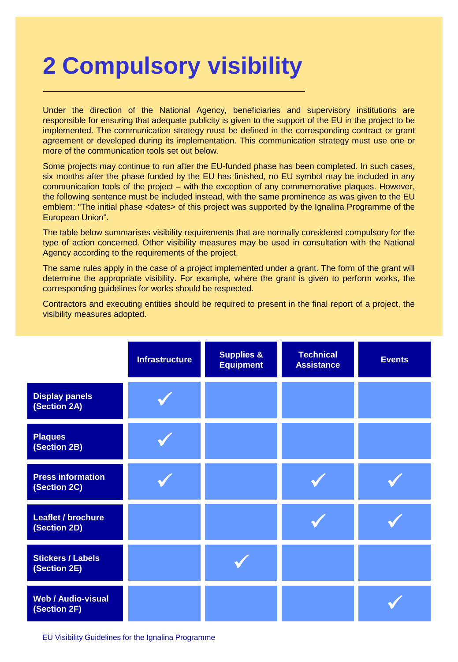## **2 Compulsory visibility**

Under the direction of the National Agency, beneficiaries and supervisory institutions are responsible for ensuring that adequate publicity is given to the support of the EU in the project to be implemented. The communication strategy must be defined in the corresponding contract or grant agreement or developed during its implementation. This communication strategy must use one or more of the communication tools set out below.

Some projects may continue to run after the EU-funded phase has been completed. In such cases, six months after the phase funded by the EU has finished, no EU symbol may be included in any communication tools of the project – with the exception of any commemorative plaques. However, the following sentence must be included instead, with the same prominence as was given to the EU emblem: "The initial phase <dates> of this project was supported by the Ignalina Programme of the European Union".

The table below summarises visibility requirements that are normally considered compulsory for the type of action concerned. Other visibility measures may be used in consultation with the National Agency according to the requirements of the project.

The same rules apply in the case of a project implemented under a grant. The form of the grant will determine the appropriate visibility. For example, where the grant is given to perform works, the corresponding guidelines for works should be respected.

Contractors and executing entities should be required to present in the final report of a project, the visibility measures adopted.

|                                           | <b>Infrastructure</b> | <b>Supplies &amp;</b><br><b>Equipment</b> | <b>Technical</b><br><b>Assistance</b> | <b>Events</b> |
|-------------------------------------------|-----------------------|-------------------------------------------|---------------------------------------|---------------|
| <b>Display panels</b><br>(Section 2A)     |                       |                                           |                                       |               |
| <b>Plaques</b><br>(Section 2B)            |                       |                                           |                                       |               |
| <b>Press information</b><br>(Section 2C)  |                       |                                           |                                       |               |
| Leaflet / brochure<br>(Section 2D)        |                       |                                           |                                       |               |
| <b>Stickers / Labels</b><br>(Section 2E)  |                       |                                           |                                       |               |
| <b>Web / Audio-visual</b><br>(Section 2F) |                       |                                           |                                       |               |

EU Visibility Guidelines for the Ignalina Programme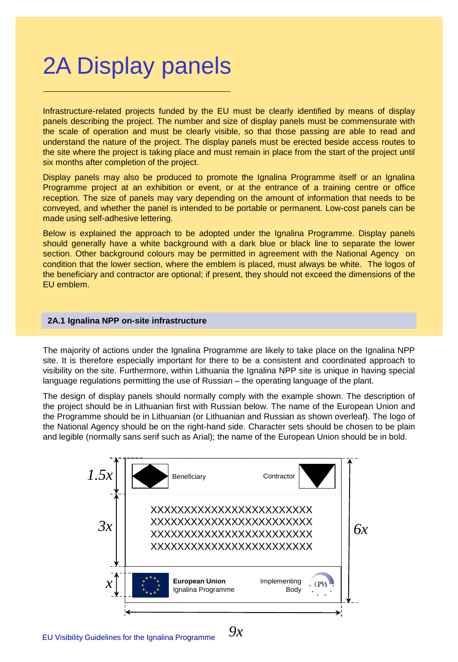### 2A Display panels

Infrastructure-related projects funded by the EU must be clearly identified by means of display panels describing the project. The number and size of display panels must be commensurate with the scale of operation and must be clearly visible, so that those passing are able to read and understand the nature of the project. The display panels must be erected beside access routes to the site where the project is taking place and must remain in place from the start of the project until six months after completion of the project.

Display panels may also be produced to promote the Ignalina Programme itself or an Ignalina Programme project at an exhibition or event, or at the entrance of a training centre or office reception. The size of panels may vary depending on the amount of information that needs to be conveyed, and whether the panel is intended to be portable or permanent. Low-cost panels can be made using self-adhesive lettering.

Below is explained the approach to be adopted under the Ignalina Programme. Display panels should generally have a white background with a dark blue or black line to separate the lower section. Other background colours may be permitted in agreement with the National Agency on condition that the lower section, where the emblem is placed, must always be white. The logos of the beneficiary and contractor are optional; if present, they should not exceed the dimensions of the EU emblem.

#### **2A.1 Ignalina NPP on-site infrastructure**

The majority of actions under the Ignalina Programme are likely to take place on the Ignalina NPP site. It is therefore especially important for there to be a consistent and coordinated approach to visibility on the site. Furthermore, within Lithuania the Ignalina NPP site is unique in having special language regulations permitting the use of Russian – the operating language of the plant.

The design of display panels should normally comply with the example shown. The description of the project should be in Lithuanian first with Russian below. The name of the European Union and the Programme should be in Lithuanian (or Lithuanian and Russian as shown overleaf). The logo of the National Agency should be on the right-hand side. Character sets should be chosen to be plain and legible (normally sans serif such as Arial); the name of the European Union should be in bold.

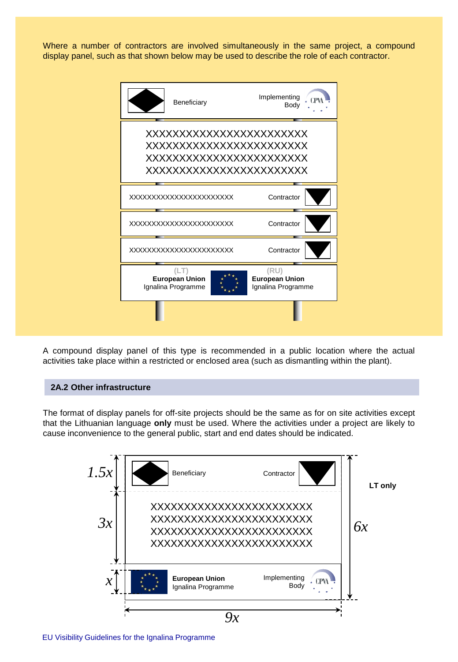Where a number of contractors are involved simultaneously in the same project, a compound display panel, such as that shown below may be used to describe the role of each contractor.



A compound display panel of this type is recommended in a public location where the actual activities take place within a restricted or enclosed area (such as dismantling within the plant).

#### **2A.2 Other infrastructure**

The format of display panels for off-site projects should be the same as for on site activities except that the Lithuanian language **only** must be used. Where the activities under a project are likely to cause inconvenience to the general public, start and end dates should be indicated.

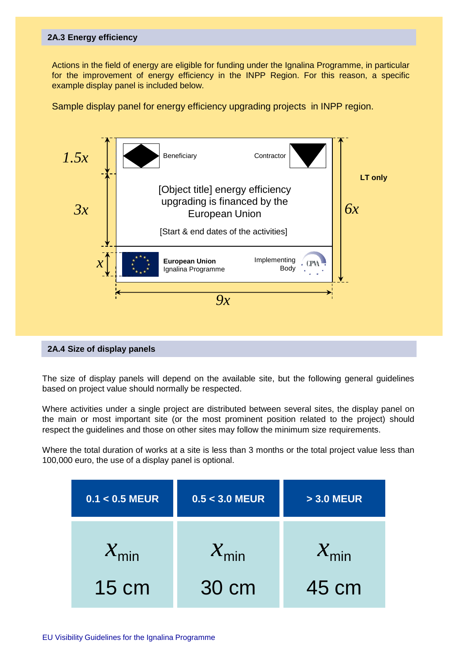#### **2A.3 Energy efficiency**

Actions in the field of energy are eligible for funding under the Ignalina Programme, in particular for the improvement of energy efficiency in the INPP Region. For this reason, a specific example display panel is included below.

Sample display panel for energy efficiency upgrading projects in INPP region.



#### **2A.4 Size of display panels**

The size of display panels will depend on the available site, but the following general guidelines based on project value should normally be respected.

Where activities under a single project are distributed between several sites, the display panel on the main or most important site (or the most prominent position related to the project) should respect the guidelines and those on other sites may follow the minimum size requirements.

Where the total duration of works at a site is less than 3 months or the total project value less than 100,000 euro, the use of a display panel is optional.

| $0.1 < 0.5$ MEUR           | $0.5 < 3.0$ MEUR           | $>$ 3.0 MEUR            |  |
|----------------------------|----------------------------|-------------------------|--|
| $\mathcal{X}_{\text{min}}$ | $\mathcal{X}_{\text{min}}$ | $\mathcal{X}_{\sf min}$ |  |
| 15 cm                      | 30 cm                      | 45 cm                   |  |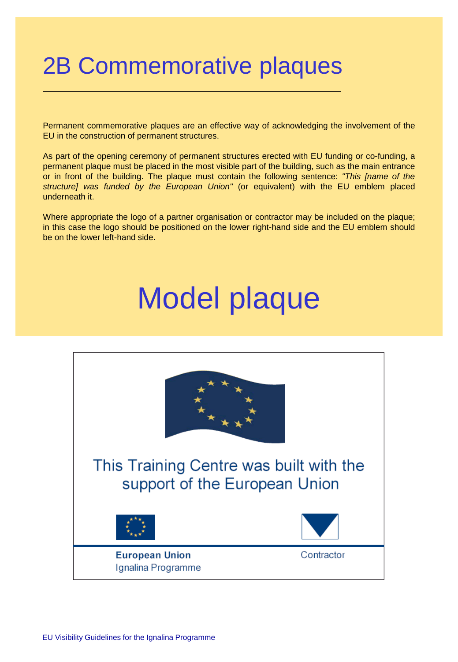### 2B Commemorative plaques

Permanent commemorative plaques are an effective way of acknowledging the involvement of the EU in the construction of permanent structures.

As part of the opening ceremony of permanent structures erected with EU funding or co-funding, a permanent plaque must be placed in the most visible part of the building, such as the main entrance or in front of the building. The plaque must contain the following sentence: *"This [name of the structure] was funded by the European Union"* (or equivalent) with the EU emblem placed underneath it.

Where appropriate the logo of a partner organisation or contractor may be included on the plaque; in this case the logo should be positioned on the lower right-hand side and the EU emblem should be on the lower left-hand side.

# Model plaque

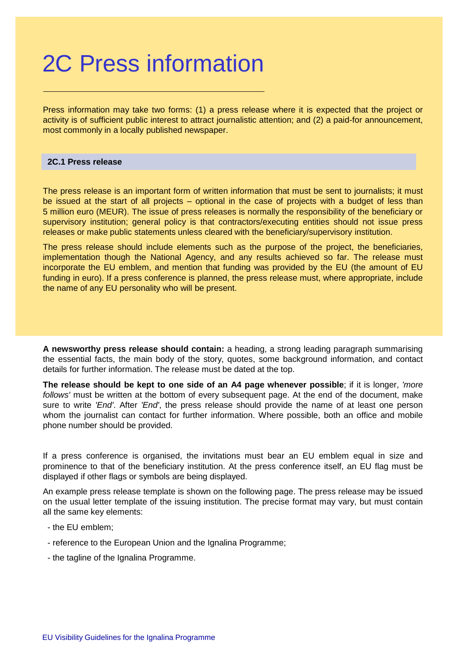### 2C Press information

Press information may take two forms: (1) a press release where it is expected that the project or activity is of sufficient public interest to attract journalistic attention; and (2) a paid-for announcement, most commonly in a locally published newspaper.

#### **2C.1 Press release**

The press release is an important form of written information that must be sent to journalists; it must be issued at the start of all projects – optional in the case of projects with a budget of less than 5 million euro (MEUR). The issue of press releases is normally the responsibility of the beneficiary or supervisory institution; general policy is that contractors/executing entities should not issue press releases or make public statements unless cleared with the beneficiary/supervisory institution.

The press release should include elements such as the purpose of the project, the beneficiaries, implementation though the National Agency, and any results achieved so far. The release must incorporate the EU emblem, and mention that funding was provided by the EU (the amount of EU funding in euro). If a press conference is planned, the press release must, where appropriate, include the name of any EU personality who will be present.

**A newsworthy press release should contain:** a heading, a strong leading paragraph summarising the essential facts, the main body of the story, quotes, some background information, and contact details for further information. The release must be dated at the top.

**The release should be kept to one side of an A4 page whenever possible**; if it is longer, *'more follows'* must be written at the bottom of every subsequent page. At the end of the document, make sure to write *'End'*. After *'End'*, the press release should provide the name of at least one person whom the journalist can contact for further information. Where possible, both an office and mobile phone number should be provided.

If a press conference is organised, the invitations must bear an EU emblem equal in size and prominence to that of the beneficiary institution. At the press conference itself, an EU flag must be displayed if other flags or symbols are being displayed.

An example press release template is shown on the following page. The press release may be issued on the usual letter template of the issuing institution. The precise format may vary, but must contain all the same key elements:

- the EU emblem;
- reference to the European Union and the Ignalina Programme;
- the tagline of the Ignalina Programme.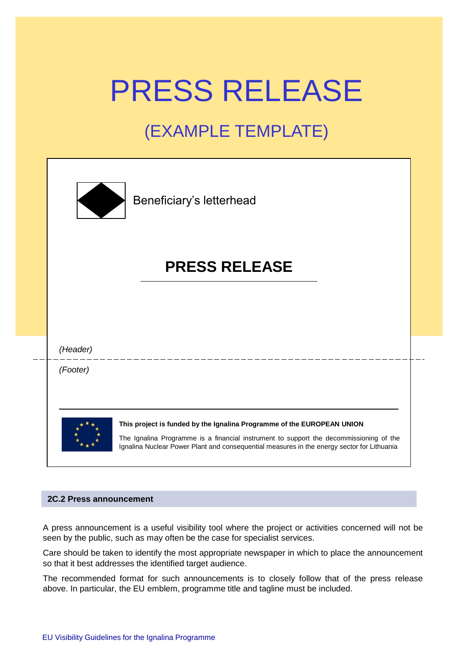# PRESS RELEASE

### (EXAMPLE TEMPLATE)



Beneficiary's letterhead

### **PRESS RELEASE**

*(Header)*

*(Footer)*



**This project is funded by the Ignalina Programme of the EUROPEAN UNION** 

The Ignalina Programme is a financial instrument to support the decommissioning of the Ignalina Nuclear Power Plant and consequential measures in the energy sector for Lithuania

#### **2C.2 Press announcement**

A press announcement is a useful visibility tool where the project or activities concerned will not be seen by the public, such as may often be the case for specialist services.

Care should be taken to identify the most appropriate newspaper in which to place the announcement so that it best addresses the identified target audience.

The recommended format for such announcements is to closely follow that of the press release above. In particular, the EU emblem, programme title and tagline must be included.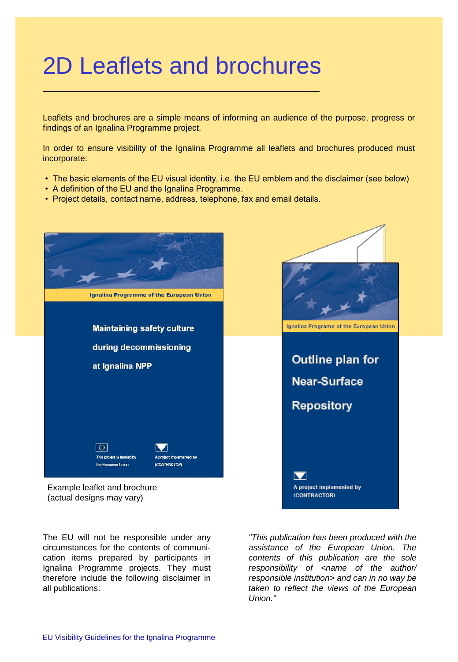### 2D Leaflets and brochures

Leaflets and brochures are a simple means of informing an audience of the purpose, progress or findings of an Ignalina Programme project.

In order to ensure visibility of the Ignalina Programme all leaflets and brochures produced must incorporate:

- The basic elements of the EU visual identity, i.e. the EU emblem and the disclaimer (see below)
- A definition of the EU and the Ignalina Programme.
- Project details, contact name, address, telephone, fax and email details.





Example leaflet and brochure (actual designs may vary)

The EU will not be responsible under any circumstances for the contents of communication items prepared by participants in Ignalina Programme projects. They must therefore include the following disclaimer in all publications:

*"This publication has been produced with the assistance of the European Union. The contents of this publication are the sole responsibility of <name of the author/ responsible institution> and can in no way be taken to reflect the views of the European Union."*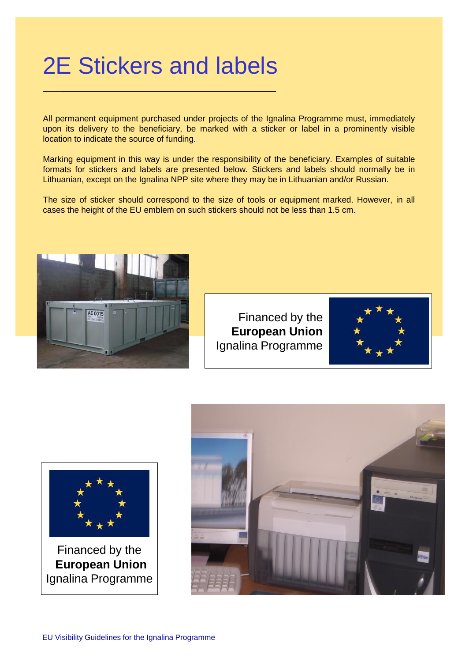### 2E Stickers and labels

All permanent equipment purchased under projects of the Ignalina Programme must, immediately upon its delivery to the beneficiary, be marked with a sticker or label in a prominently visible location to indicate the source of funding.

Marking equipment in this way is under the responsibility of the beneficiary. Examples of suitable formats for stickers and labels are presented below. Stickers and labels should normally be in Lithuanian, except on the Ignalina NPP site where they may be in Lithuanian and/or Russian.

The size of sticker should correspond to the size of tools or equipment marked. However, in all cases the height of the EU emblem on such stickers should not be less than 1.5 cm.



Financed by the **European Union** Ignalina Programme





Financed by the **European Union** Ignalina Programme

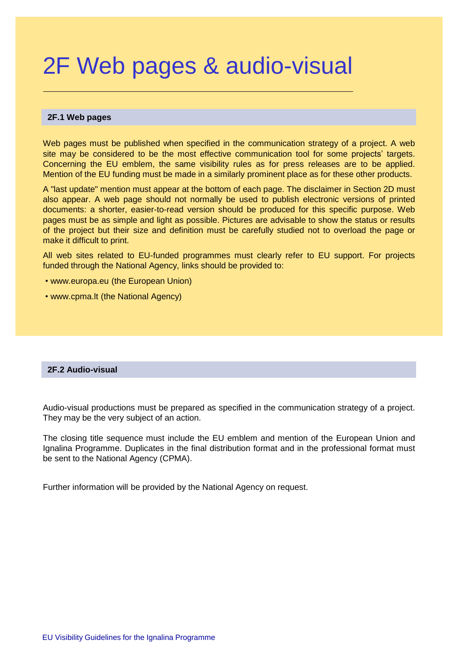### 2F Web pages & audio-visual

#### **2F.1 Web pages**

Web pages must be published when specified in the communication strategy of a project. A web site may be considered to be the most effective communication tool for some projects' targets. Concerning the EU emblem, the same visibility rules as for press releases are to be applied. Mention of the EU funding must be made in a similarly prominent place as for these other products.

A "last update" mention must appear at the bottom of each page. The disclaimer in Section 2D must also appear. A web page should not normally be used to publish electronic versions of printed documents: a shorter, easier-to-read version should be produced for this specific purpose. Web pages must be as simple and light as possible. Pictures are advisable to show the status or results of the project but their size and definition must be carefully studied not to overload the page or make it difficult to print.

All web sites related to EU-funded programmes must clearly refer to EU support. For projects funded through the National Agency, links should be provided to:

- www.europa.eu (the European Union)
- www.cpma.lt (the National Agency)

#### **2F.2 Audio-visual**

Audio-visual productions must be prepared as specified in the communication strategy of a project. They may be the very subject of an action.

The closing title sequence must include the EU emblem and mention of the European Union and Ignalina Programme. Duplicates in the final distribution format and in the professional format must be sent to the National Agency (CPMA).

Further information will be provided by the National Agency on request.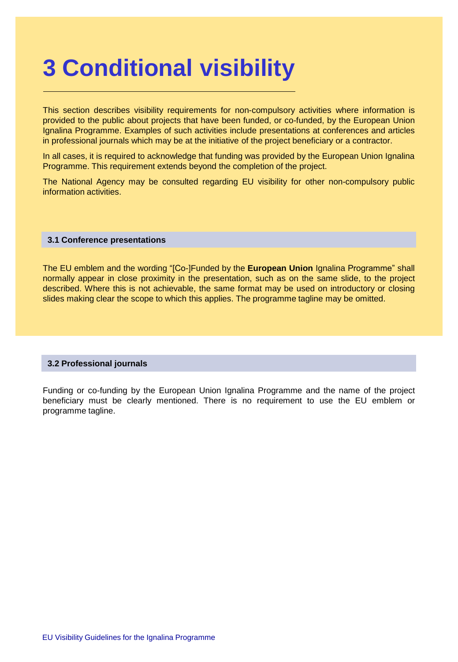# **3 Conditional visibility**

This section describes visibility requirements for non-compulsory activities where information is provided to the public about projects that have been funded, or co-funded, by the European Union Ignalina Programme. Examples of such activities include presentations at conferences and articles in professional journals which may be at the initiative of the project beneficiary or a contractor.

In all cases, it is required to acknowledge that funding was provided by the European Union Ignalina Programme. This requirement extends beyond the completion of the project.

The National Agency may be consulted regarding EU visibility for other non-compulsory public information activities.

#### **3.1 Conference presentations**

The EU emblem and the wording "[Co-]Funded by the **European Union** Ignalina Programme" shall normally appear in close proximity in the presentation, such as on the same slide, to the project described. Where this is not achievable, the same format may be used on introductory or closing slides making clear the scope to which this applies. The programme tagline may be omitted.

#### **3.2 Professional journals**

Funding or co-funding by the European Union Ignalina Programme and the name of the project beneficiary must be clearly mentioned. There is no requirement to use the EU emblem or programme tagline.